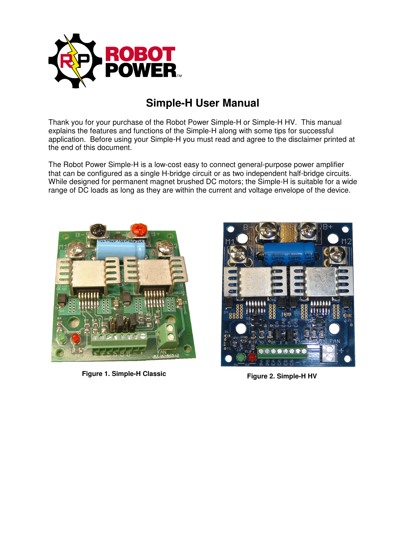

# **Simple-H User Manual**

Thank you for your purchase of the Robot Power Simple-H or Simple-H HV. This manual explains the features and functions of the Simple-H along with some tips for successful application. Before using your Simple-H you must read and agree to the disclaimer printed at the end of this document.

The Robot Power Simple-H is a low-cost easy to connect general-purpose power amplifier that can be configured as a single H-bridge circuit or as two independent half-bridge circuits. While designed for permanent magnet brushed DC motors; the Simple-H is suitable for a wide range of DC loads as long as they are within the current and voltage envelope of the device.



**Figure 1. Simple-H Classic** 



**Figure 2. Simple-H HV**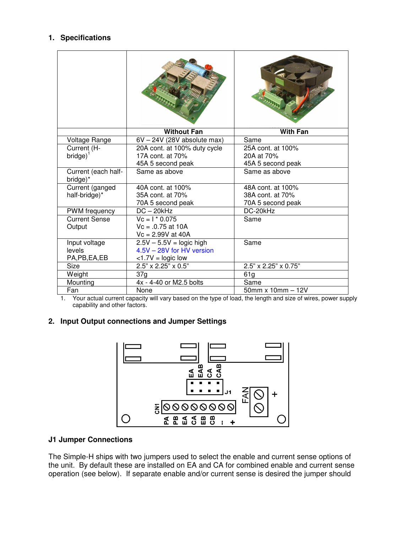# **1. Specifications**

|                                 | <b>Without Fan</b>           | <b>With Fan</b>          |
|---------------------------------|------------------------------|--------------------------|
| Voltage Range                   | 6V - 24V (28V absolute max)  | Same                     |
| Current (H-                     | 20A cont. at 100% duty cycle | 25A cont. at 100%        |
| $bridge)$ <sup>1</sup>          | 17A cont. at 70%             | 20A at 70%               |
|                                 | 45A 5 second peak            | 45A 5 second peak        |
| Current (each half-<br>bridge)* | Same as above                | Same as above            |
| Current (ganged                 | 40A cont. at 100%            | 48A cont. at 100%        |
| half-bridge)*                   | 35A cont. at 70%             | 38A cont. at 70%         |
|                                 | 70A 5 second peak            | 70A 5 second peak        |
| PWM frequency                   | $DC - 20kHz$                 | DC-20kHz                 |
| <b>Current Sense</b>            | $\overline{V}c = I * 0.075$  | Same                     |
| Output                          | $Vc = 0.75$ at 10A           |                          |
|                                 | $Vc = 2.99V$ at 40A          |                          |
| Input voltage                   | $2.5V - 5.5V =$ logic high   | Same                     |
| levels                          | 4.5V - 28V for HV version    |                          |
| PA, PB, EA, EB                  | $<1.7V =$ logic low          |                          |
| Size                            | 2.5" x 2.25" x 0.5"          | 2.5" x 2.25" x 0.75"     |
| Weight                          | 37g                          | 61g                      |
| Mounting                        | 4x - 4-40 or M2.5 bolts      | Same                     |
| Fan                             | None                         | $50$ mm x $10$ mm $-12V$ |

1. Your actual current capacity will vary based on the type of load, the length and size of wires, power supply capability and other factors.

#### **2. Input Output connections and Jumper Settings**



#### **J1 Jumper Connections**

The Simple-H ships with two jumpers used to select the enable and current sense options of the unit. By default these are installed on EA and CA for combined enable and current sense operation (see below). If separate enable and/or current sense is desired the jumper should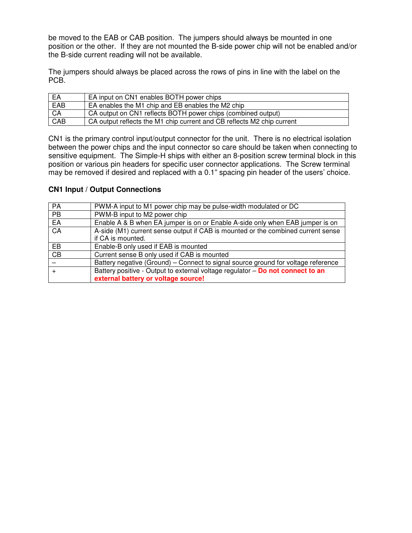be moved to the EAB or CAB position. The jumpers should always be mounted in one position or the other. If they are not mounted the B-side power chip will not be enabled and/or the B-side current reading will not be available.

The jumpers should always be placed across the rows of pins in line with the label on the PCB.

| EA  | EA input on CN1 enables BOTH power chips                               |
|-----|------------------------------------------------------------------------|
| EAB | EA enables the M1 chip and EB enables the M2 chip                      |
| CA  | CA output on CN1 reflects BOTH power chips (combined output)           |
| CAB | CA output reflects the M1 chip current and CB reflects M2 chip current |

CN1 is the primary control input/output connector for the unit. There is no electrical isolation between the power chips and the input connector so care should be taken when connecting to sensitive equipment. The Simple-H ships with either an 8-position screw terminal block in this position or various pin headers for specific user connector applications. The Screw terminal may be removed if desired and replaced with a 0.1" spacing pin header of the users' choice.

#### **CN1 Input / Output Connections**

| $\overline{PA}$ | PWM-A input to M1 power chip may be pulse-width modulated or DC                   |
|-----------------|-----------------------------------------------------------------------------------|
| $\overline{PB}$ | PWM-B input to M2 power chip                                                      |
| EA              | Enable A & B when EA jumper is on or Enable A-side only when EAB jumper is on     |
| CA              | A-side (M1) current sense output if CAB is mounted or the combined current sense  |
|                 | if CA is mounted.                                                                 |
| EB              | Enable-B only used if EAB is mounted                                              |
| CB              | Current sense B only used if CAB is mounted                                       |
|                 | Battery negative (Ground) - Connect to signal source ground for voltage reference |
|                 | Battery positive - Output to external voltage regulator - Do not connect to an    |
|                 | external battery or voltage source!                                               |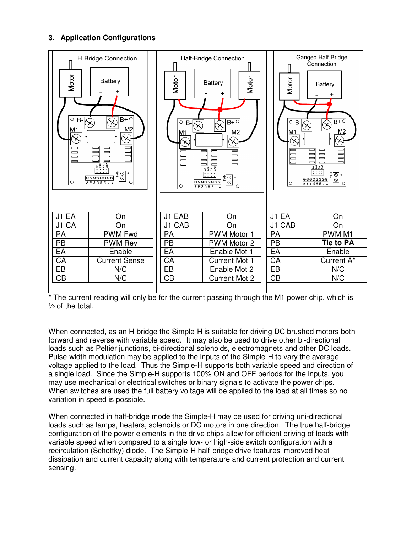# **3. Application Configurations**



The current reading will only be for the current passing through the M1 power chip, which is  $\frac{1}{2}$  of the total.

When connected, as an H-bridge the Simple-H is suitable for driving DC brushed motors both forward and reverse with variable speed. It may also be used to drive other bi-directional loads such as Peltier junctions, bi-directional solenoids, electromagnets and other DC loads. Pulse-width modulation may be applied to the inputs of the Simple-H to vary the average voltage applied to the load. Thus the Simple-H supports both variable speed and direction of a single load. Since the Simple-H supports 100% ON and OFF periods for the inputs, you may use mechanical or electrical switches or binary signals to activate the power chips. When switches are used the full battery voltage will be applied to the load at all times so no variation in speed is possible.

When connected in half-bridge mode the Simple-H may be used for driving uni-directional loads such as lamps, heaters, solenoids or DC motors in one direction. The true half-bridge configuration of the power elements in the drive chips allow for efficient driving of loads with variable speed when compared to a single low- or high-side switch configuration with a recirculation (Schottky) diode. The Simple-H half-bridge drive features improved heat dissipation and current capacity along with temperature and current protection and current sensing.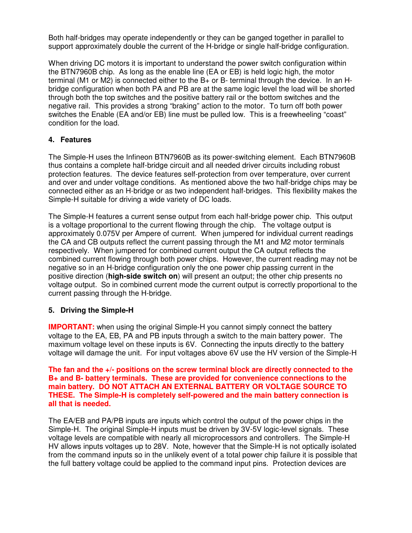Both half-bridges may operate independently or they can be ganged together in parallel to support approximately double the current of the H-bridge or single half-bridge configuration.

When driving DC motors it is important to understand the power switch configuration within the BTN7960B chip. As long as the enable line (EA or EB) is held logic high, the motor terminal (M1 or M2) is connected either to the B+ or B- terminal through the device. In an Hbridge configuration when both PA and PB are at the same logic level the load will be shorted through both the top switches and the positive battery rail or the bottom switches and the negative rail. This provides a strong "braking" action to the motor. To turn off both power switches the Enable (EA and/or EB) line must be pulled low. This is a freewheeling "coast" condition for the load.

# **4. Features**

The Simple-H uses the Infineon BTN7960B as its power-switching element. Each BTN7960B thus contains a complete half-bridge circuit and all needed driver circuits including robust protection features. The device features self-protection from over temperature, over current and over and under voltage conditions. As mentioned above the two half-bridge chips may be connected either as an H-bridge or as two independent half-bridges. This flexibility makes the Simple-H suitable for driving a wide variety of DC loads.

The Simple-H features a current sense output from each half-bridge power chip. This output is a voltage proportional to the current flowing through the chip. The voltage output is approximately 0.075V per Ampere of current. When jumpered for individual current readings the CA and CB outputs reflect the current passing through the M1 and M2 motor terminals respectively. When jumpered for combined current output the CA output reflects the combined current flowing through both power chips. However, the current reading may not be negative so in an H-bridge configuration only the one power chip passing current in the positive direction (**high-side switch on**) will present an output; the other chip presents no voltage output. So in combined current mode the current output is correctly proportional to the current passing through the H-bridge.

### **5. Driving the Simple-H**

**IMPORTANT:** when using the original Simple-H you cannot simply connect the battery voltage to the EA, EB, PA and PB inputs through a switch to the main battery power. The maximum voltage level on these inputs is 6V. Connecting the inputs directly to the battery voltage will damage the unit. For input voltages above 6V use the HV version of the Simple-H

**The fan and the +/- positions on the screw terminal block are directly connected to the B+ and B- battery terminals. These are provided for convenience connections to the main battery. DO NOT ATTACH AN EXTERNAL BATTERY OR VOLTAGE SOURCE TO THESE. The Simple-H is completely self-powered and the main battery connection is all that is needed.** 

The EA/EB and PA/PB inputs are inputs which control the output of the power chips in the Simple-H. The original Simple-H inputs must be driven by 3V-5V logic-level signals. These voltage levels are compatible with nearly all microprocessors and controllers. The Simple-H HV allows inputs voltages up to 28V. Note, however that the Simple-H is not optically isolated from the command inputs so in the unlikely event of a total power chip failure it is possible that the full battery voltage could be applied to the command input pins. Protection devices are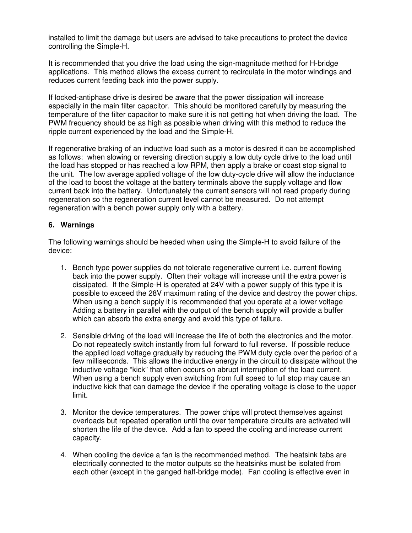installed to limit the damage but users are advised to take precautions to protect the device controlling the Simple-H.

It is recommended that you drive the load using the sign-magnitude method for H-bridge applications. This method allows the excess current to recirculate in the motor windings and reduces current feeding back into the power supply.

If locked-antiphase drive is desired be aware that the power dissipation will increase especially in the main filter capacitor. This should be monitored carefully by measuring the temperature of the filter capacitor to make sure it is not getting hot when driving the load. The PWM frequency should be as high as possible when driving with this method to reduce the ripple current experienced by the load and the Simple-H.

If regenerative braking of an inductive load such as a motor is desired it can be accomplished as follows: when slowing or reversing direction supply a low duty cycle drive to the load until the load has stopped or has reached a low RPM, then apply a brake or coast stop signal to the unit. The low average applied voltage of the low duty-cycle drive will allow the inductance of the load to boost the voltage at the battery terminals above the supply voltage and flow current back into the battery. Unfortunately the current sensors will not read properly during regeneration so the regeneration current level cannot be measured. Do not attempt regeneration with a bench power supply only with a battery.

# **6. Warnings**

The following warnings should be heeded when using the Simple-H to avoid failure of the device:

- 1. Bench type power supplies do not tolerate regenerative current i.e. current flowing back into the power supply. Often their voltage will increase until the extra power is dissipated. If the Simple-H is operated at 24V with a power supply of this type it is possible to exceed the 28V maximum rating of the device and destroy the power chips. When using a bench supply it is recommended that you operate at a lower voltage Adding a battery in parallel with the output of the bench supply will provide a buffer which can absorb the extra energy and avoid this type of failure.
- 2. Sensible driving of the load will increase the life of both the electronics and the motor. Do not repeatedly switch instantly from full forward to full reverse. If possible reduce the applied load voltage gradually by reducing the PWM duty cycle over the period of a few milliseconds. This allows the inductive energy in the circuit to dissipate without the inductive voltage "kick" that often occurs on abrupt interruption of the load current. When using a bench supply even switching from full speed to full stop may cause an inductive kick that can damage the device if the operating voltage is close to the upper limit.
- 3. Monitor the device temperatures. The power chips will protect themselves against overloads but repeated operation until the over temperature circuits are activated will shorten the life of the device. Add a fan to speed the cooling and increase current capacity.
- 4. When cooling the device a fan is the recommended method. The heatsink tabs are electrically connected to the motor outputs so the heatsinks must be isolated from each other (except in the ganged half-bridge mode). Fan cooling is effective even in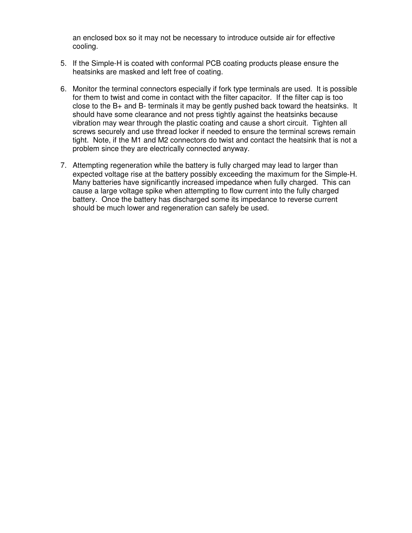an enclosed box so it may not be necessary to introduce outside air for effective cooling.

- 5. If the Simple-H is coated with conformal PCB coating products please ensure the heatsinks are masked and left free of coating.
- 6. Monitor the terminal connectors especially if fork type terminals are used. It is possible for them to twist and come in contact with the filter capacitor. If the filter cap is too close to the B+ and B- terminals it may be gently pushed back toward the heatsinks. It should have some clearance and not press tightly against the heatsinks because vibration may wear through the plastic coating and cause a short circuit. Tighten all screws securely and use thread locker if needed to ensure the terminal screws remain tight. Note, if the M1 and M2 connectors do twist and contact the heatsink that is not a problem since they are electrically connected anyway.
- 7. Attempting regeneration while the battery is fully charged may lead to larger than expected voltage rise at the battery possibly exceeding the maximum for the Simple-H. Many batteries have significantly increased impedance when fully charged. This can cause a large voltage spike when attempting to flow current into the fully charged battery. Once the battery has discharged some its impedance to reverse current should be much lower and regeneration can safely be used.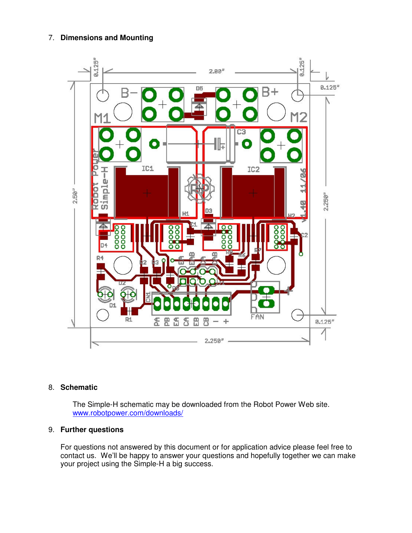### 7. **Dimensions and Mounting**



#### 8. **Schematic**

The Simple-H schematic may be downloaded from the Robot Power Web site. www.robotpower.com/downloads/

# 9. **Further questions**

For questions not answered by this document or for application advice please feel free to contact us. We'll be happy to answer your questions and hopefully together we can make your project using the Simple-H a big success.